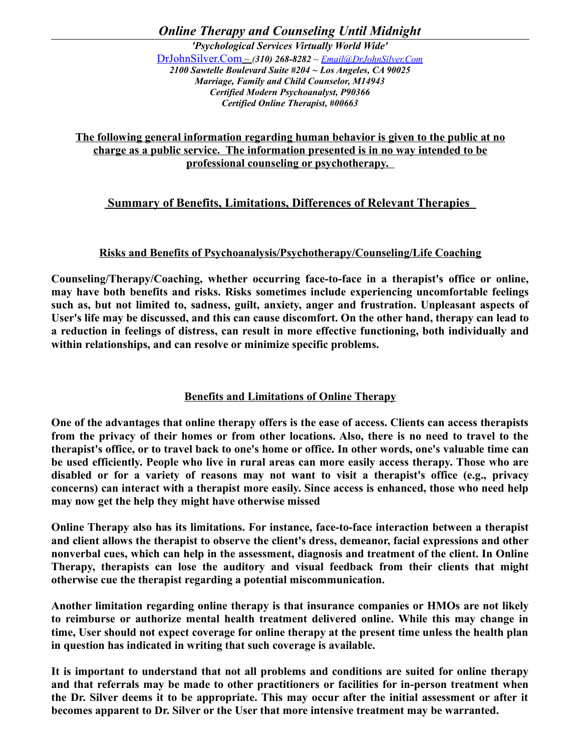*Online Therapy and Counseling Until Midnight*

*'Psychological Services Virtually World Wide'* [DrJohnSilver.Com](http://www.drjohnsilver.com/) *~ (310) 268-8282 ~ [Email@DrJohnSilver.Com](mailto:Email@DrJohnSilver.Com) 2100 Sawtelle Boulevard Suite #204 ~ Los Angeles, CA 90025 Marriage, Family and Child Counselor, M14943 Certified Modern Psychoanalyst, P90366 Certified Online Therapist, #00663*

**The following general information regarding human behavior is given to the public at no charge as a public service. The information presented is in no way intended to be professional counseling or psychotherapy.** 

# **Summary of Benefits, Limitations, Differences of Relevant Therapies**

# **Risks and Benefits of Psychoanalysis/Psychotherapy/Counseling/Life Coaching**

**Counseling/Therapy/Coaching, whether occurring face-to-face in a therapist's office or online, may have both benefits and risks. Risks sometimes include experiencing uncomfortable feelings such as, but not limited to, sadness, guilt, anxiety, anger and frustration. Unpleasant aspects of User's life may be discussed, and this can cause discomfort. On the other hand, therapy can lead to a reduction in feelings of distress, can result in more effective functioning, both individually and within relationships, and can resolve or minimize specific problems.**

# **Benefits and Limitations of Online Therapy**

**One of the advantages that online therapy offers is the ease of access. Clients can access therapists from the privacy of their homes or from other locations. Also, there is no need to travel to the therapist's office, or to travel back to one's home or office. In other words, one's valuable time can be used efficiently. People who live in rural areas can more easily access therapy. Those who are disabled or for a variety of reasons may not want to visit a therapist's office (e.g., privacy concerns) can interact with a therapist more easily. Since access is enhanced, those who need help may now get the help they might have otherwise missed**

**Online Therapy also has its limitations. For instance, face-to-face interaction between a therapist and client allows the therapist to observe the client's dress, demeanor, facial expressions and other nonverbal cues, which can help in the assessment, diagnosis and treatment of the client. In Online Therapy, therapists can lose the auditory and visual feedback from their clients that might otherwise cue the therapist regarding a potential miscommunication.** 

**Another limitation regarding online therapy is that insurance companies or HMOs are not likely to reimburse or authorize mental health treatment delivered online. While this may change in time, User should not expect coverage for online therapy at the present time unless the health plan in question has indicated in writing that such coverage is available.** 

**It is important to understand that not all problems and conditions are suited for online therapy and that referrals may be made to other practitioners or facilities for in-person treatment when the Dr. Silver deems it to be appropriate. This may occur after the initial assessment or after it becomes apparent to Dr. Silver or the User that more intensive treatment may be warranted.**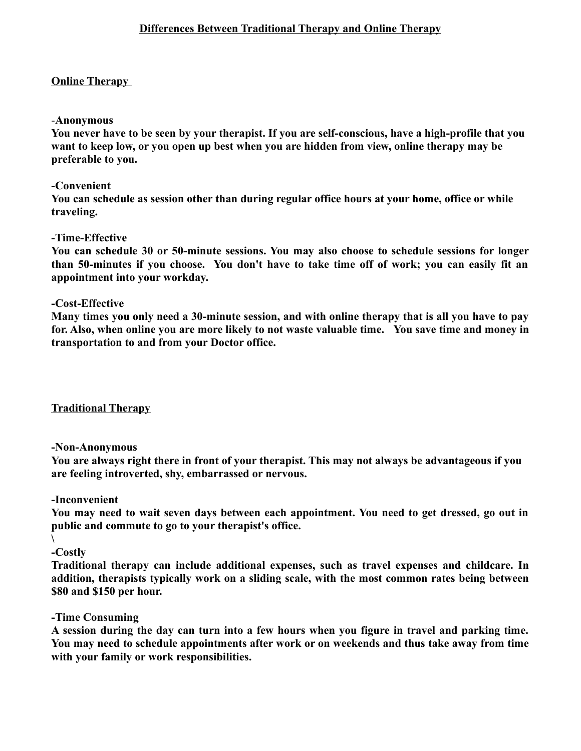# **Online Therapy**

### -**Anonymous**

**You never have to be seen by your therapist. If you are self-conscious, have a high-profile that you want to keep low, or you open up best when you are hidden from view, online therapy may be preferable to you.**

### **-Convenient**

**You can schedule as session other than during regular office hours at your home, office or while traveling.** 

### **-Time-Effective**

**You can schedule 30 or 50-minute sessions. You may also choose to schedule sessions for longer than 50-minutes if you choose. You don't have to take time off of work; you can easily fit an appointment into your workday.**

### **-Cost-Effective**

**Many times you only need a 30-minute session, and with online therapy that is all you have to pay for. Also, when online you are more likely to not waste valuable time. You save time and money in transportation to and from your Doctor office.**

# **Traditional Therapy**

#### **-Non-Anonymous**

**You are always right there in front of your therapist. This may not always be advantageous if you are feeling introverted, shy, embarrassed or nervous.**

#### **-Inconvenient**

**You may need to wait seven days between each appointment. You need to get dressed, go out in public and commute to go to your therapist's office.**

**\ -Costly**

**Traditional therapy can include additional expenses, such as travel expenses and childcare. In addition, therapists typically work on a sliding scale, with the most common rates being between \$80 and \$150 per hour.**

# **-Time Consuming**

**A session during the day can turn into a few hours when you figure in travel and parking time. You may need to schedule appointments after work or on weekends and thus take away from time with your family or work responsibilities.**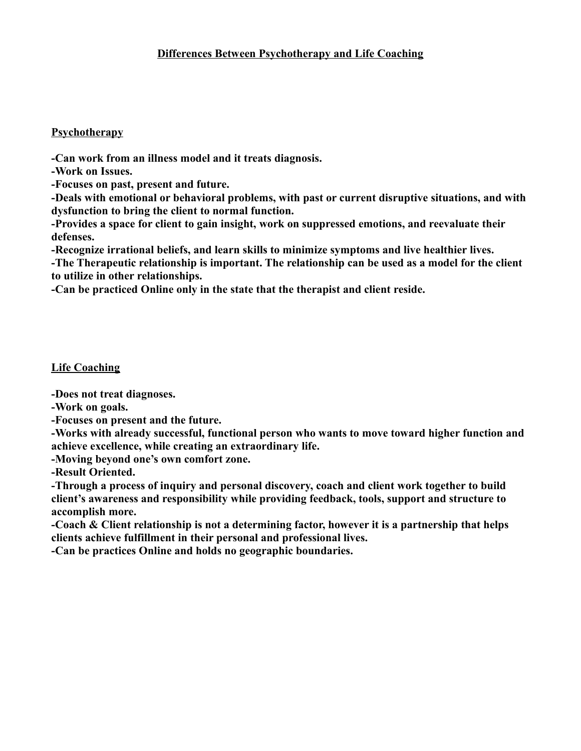# **Psychotherapy**

**-Can work from an illness model and it treats diagnosis.**

**-Work on Issues.**

**-Focuses on past, present and future.**

**-Deals with emotional or behavioral problems, with past or current disruptive situations, and with dysfunction to bring the client to normal function.** 

**-Provides a space for client to gain insight, work on suppressed emotions, and reevaluate their defenses.**

**-Recognize irrational beliefs, and learn skills to minimize symptoms and live healthier lives.**

**-The Therapeutic relationship is important. The relationship can be used as a model for the client to utilize in other relationships.** 

**-Can be practiced Online only in the state that the therapist and client reside.**

# **Life Coaching**

**-Does not treat diagnoses.**

**-Work on goals.**

**-Focuses on present and the future.**

**-Works with already successful, functional person who wants to move toward higher function and achieve excellence, while creating an extraordinary life.**

**-Moving beyond one's own comfort zone.**

**-Result Oriented.**

**-Through a process of inquiry and personal discovery, coach and client work together to build client's awareness and responsibility while providing feedback, tools, support and structure to accomplish more.**

**-Coach & Client relationship is not a determining factor, however it is a partnership that helps clients achieve fulfillment in their personal and professional lives.**

**-Can be practices Online and holds no geographic boundaries.**